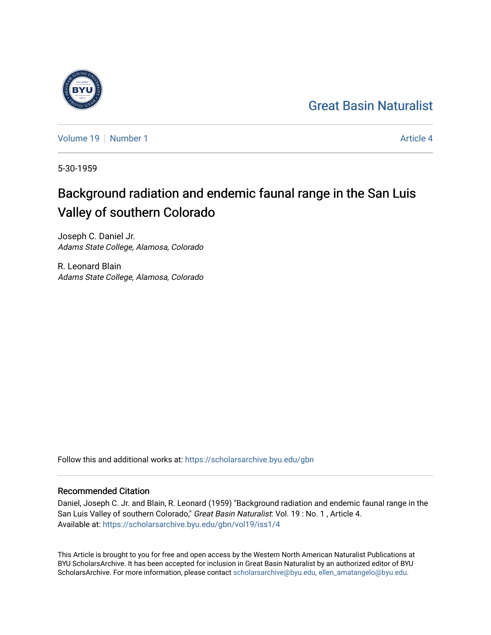## [Great Basin Naturalist](https://scholarsarchive.byu.edu/gbn)

[Volume 19](https://scholarsarchive.byu.edu/gbn/vol19) [Number 1](https://scholarsarchive.byu.edu/gbn/vol19/iss1) [Article 4](https://scholarsarchive.byu.edu/gbn/vol19/iss1/4) Article 4 Article 4 Article 4 Article 4 Article 4 Article 4

5-30-1959

# Background radiation and endemic faunal range in the San Luis Valley of southern Colorado

Joseph C. Daniel Jr. Adams State College, Alamosa, Colorado

R. Leonard Blain Adams State College, Alamosa, Colorado

Follow this and additional works at: [https://scholarsarchive.byu.edu/gbn](https://scholarsarchive.byu.edu/gbn?utm_source=scholarsarchive.byu.edu%2Fgbn%2Fvol19%2Fiss1%2F4&utm_medium=PDF&utm_campaign=PDFCoverPages) 

### Recommended Citation

Daniel, Joseph C. Jr. and Blain, R. Leonard (1959) "Background radiation and endemic faunal range in the San Luis Valley of southern Colorado," Great Basin Naturalist: Vol. 19: No. 1, Article 4. Available at: [https://scholarsarchive.byu.edu/gbn/vol19/iss1/4](https://scholarsarchive.byu.edu/gbn/vol19/iss1/4?utm_source=scholarsarchive.byu.edu%2Fgbn%2Fvol19%2Fiss1%2F4&utm_medium=PDF&utm_campaign=PDFCoverPages)

This Article is brought to you for free and open access by the Western North American Naturalist Publications at BYU ScholarsArchive. It has been accepted for inclusion in Great Basin Naturalist by an authorized editor of BYU ScholarsArchive. For more information, please contact [scholarsarchive@byu.edu, ellen\\_amatangelo@byu.edu.](mailto:scholarsarchive@byu.edu,%20ellen_amatangelo@byu.edu)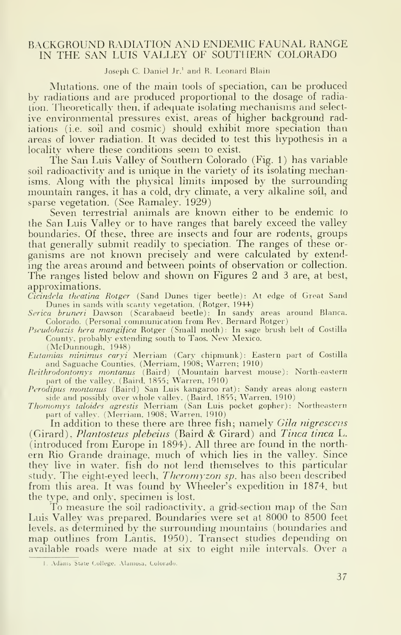#### BACKGROUND RADIATION AND ENDEMIC FAUNAE RANGE IN THE SAN LUIS VALLEY OF SOUTHERN COLORADO

Joseph C. Daniel Jr.<sup>1</sup> and R. Leonard Blain

Mutations, one of the main tools of speciation, can be produced by radiations and are produced proportional to the dosage of radiation. Theoretically then, if adequate isolating mechanisms and select ive environmental pressures exist, areas of higher background radiations (i.e. soil and cosmic) should exhibit more speciation than areas of lower radiation. It was decided to test this hypothesis in a locality where these conditions seem to exist.

The San Luis Valley of Southern Colorado (Fig. 1) has variable soil radioactivity and is unique in the variety of its isolating mechanisms. Along with the physical limits imposed by the surrounding mountain ranges, it has <sup>a</sup> cold, dry climate, a very alkaline soil, and sparse vegetation. (See Ramaley. 1929)

Seven terrestrial animals are known either to be endemic to the San Luis Valley or to have ranges that barely exceed the valley boundaries. Of these, three are insects and four are rodents, groups that generally submit readily to speciation. The ranges of these or ganisms are not known precisely and were calculated by extending the areas around and between points of observation or collection. The ranges listed below and shown on Figures 2 and 3 are, at best, approximations.

Cicindela theatina Rotger (Sand Dunes tiger beetle): At edge of Great Sand Dunes in sands with scanty vegetation. (Rotger, 1944)

Serica bruneri Dawson (Scarabaeid beetle): In sandy areas around Blanca. Colorado. (Personal communication from Rev. Bernard Rotger)

Pseudohazis hera mangifica Rotger (Small moth): In sage brush belt of Costilla County, probably extending south to Taos. New Mexico.

(McDunnough. 1948)

Eutamias minimus caryi Merriam (Cary chipmunk): Eastern part of Costilla and Saguache Counties. (Merriam, 1908; Warren; 1910)

Reithrodontomys montanus (Baird) (Mountain harvest mouse): North-eastern part of the valley. (Baird, 1855; Warren, 1910)

Perodipus montanus (Baird) San Luis kangaroo rat): Sandy areas along eastern

side and possibly over whole valley. (Baird, 1855; Warren, 1910)<br>Thomomys taloides agrestis Merriam (San Luis pocket gopher): Northeastern<br>part of valley. (Merriam, 1908; Warren, 1910)

In addition to these there are three fish; namely Gila nigrescens (Girard). Plantosteus plebeius (Baird & Girard) and Tinca tinca L. (introduced from Europe in 1894). All three are found in the north ern Rio Grande drainage, much of which lies in the valley. Since they live in water, fish do not lend themselves to this particular study. The eight-eyed leech, *Theromyzon sp*, has also been described from this area. It was found by Wheeler's expedition in 1874. but the type, and only, specimen is lost.

To measure the soil radioactivity, a grid-section map of the San Luis Valley was prepared. Boundaries were set at 8000 to 8500 feet levels, as determined by the surrounding mountains (boundaries and map outlines from Lantis, 1950). Transect studies depending on available roads were made at six to eight mile intervals. Over a

I. Adams State College. Alamosa, Colorado.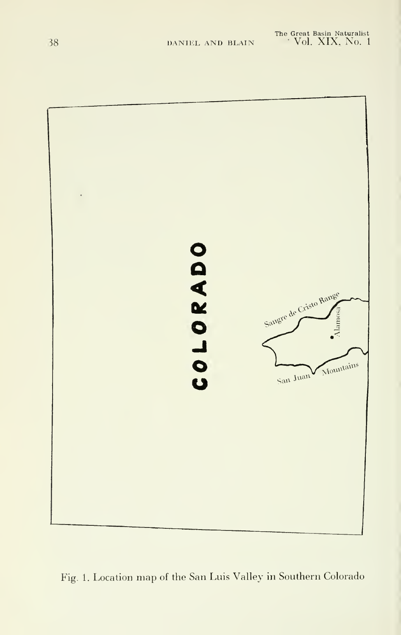

Fig. 1. Location map of the San Luis Valley in Southern Colorado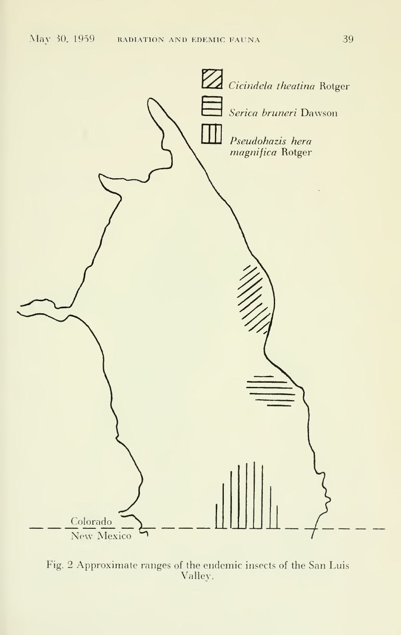

Fig. 2 Approximate ranges of the endemic insects of the San Luis Valley.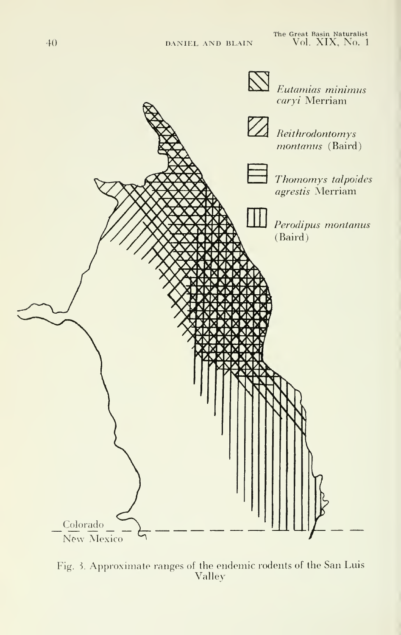The Great Basin Naturalist<br>DANIEL AND BLAIN Vol. XIX, No. 1



Fig. 3. Approximate ranges of the endemic rodents of the San Luis Valley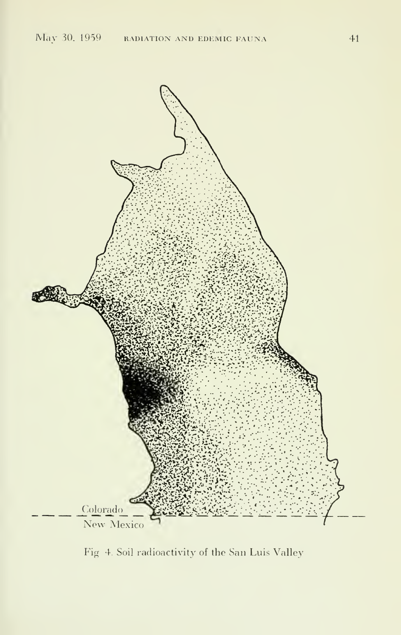

Fig 4. Soil radioactivity of the San Luis Valley